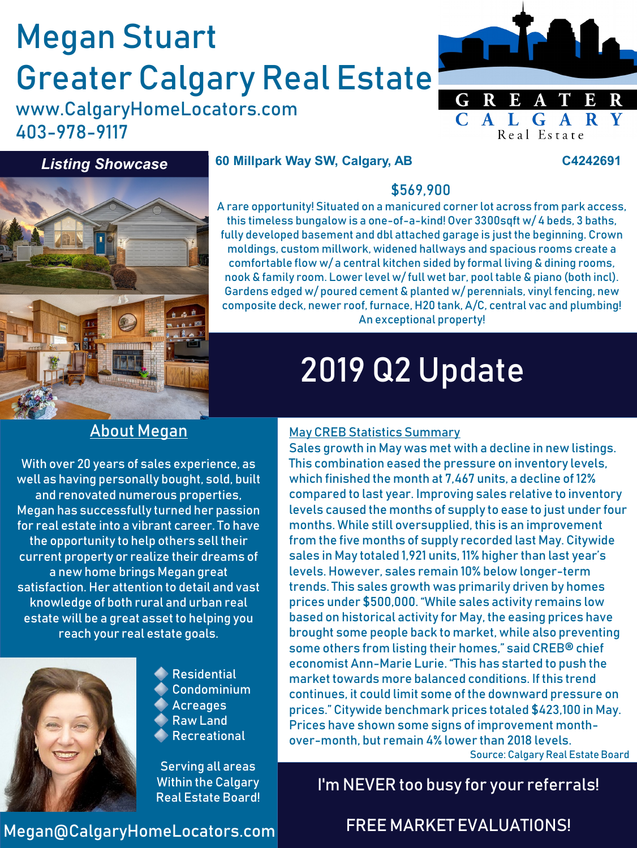# Megan Stuart Greater Calgary Real Estate

www.CalgaryHomeLocators.com 403-978-9117



#### *Listing Showcase*

#### **60 Millpark Way SW, Calgary, AB C4242691**



#### \$569,900 A rare opportunity! Situated on a manicured corner lot across from park access, this timeless bungalow is a one-of-a-kind! Over 3300sqft w/ 4 beds, 3 baths, fully developed basement and dbl attached garage is just the beginning. Crown moldings, custom millwork, widened hallways and spacious rooms create a comfortable flow w/ a central kitchen sided by formal living & dining rooms,

nook & family room. Lower level w/ full wet bar, pool table & piano (both incl). Gardens edged w/ poured cement & planted w/ perennials, vinyl fencing, new composite deck, newer roof, furnace, H20 tank, A/C, central vac and plumbing! An exceptional property!

# 2019 Q2 Update

## About Megan

With over 20 years of sales experience, as well as having personally bought, sold, built and renovated numerous properties, Megan has successfully turned her passion for real estate into a vibrant career. To have the opportunity to help others sell their current property or realize their dreams of a new home brings Megan great satisfaction. Her attention to detail and vast knowledge of both rural and urban real estate will be a great asset to helping you reach your real estate goals.



**Residential** Condominium Acreages Raw Land Recreational

Serving all areas Within the Calgary Real Estate Board!

#### May CREB Statistics Summary

Sales growth in May was met with a decline in new listings. This combination eased the pressure on inventory levels, which finished the month at 7,467 units, a decline of 12% compared to last year. Improving sales relative to inventory levels caused the months of supply to ease to just under four months. While still oversupplied, this is an improvement from the five months of supply recorded last May. Citywide sales in May totaled 1,921 units, 11% higher than last year's levels. However, sales remain 10% below longer-term trends. This sales growth was primarily driven by homes prices under \$500,000. "While sales activity remains low based on historical activity for May, the easing prices have brought some people back to market, while also preventing some others from listing their homes," said CREB® chief economist Ann-Marie Lurie. "This has started to push the market towards more balanced conditions. If this trend continues, it could limit some of the downward pressure on prices." Citywide benchmark prices totaled \$423,100 in May. Prices have shown some signs of improvement monthover-month, but remain 4% lower than 2018 levels.

Source: Calgary Real Estate Board

## I'm NEVER too busy for your referrals!

#### Megan@CalgaryHomeLocators.com

### FREE MARKET EVALUATIONS!